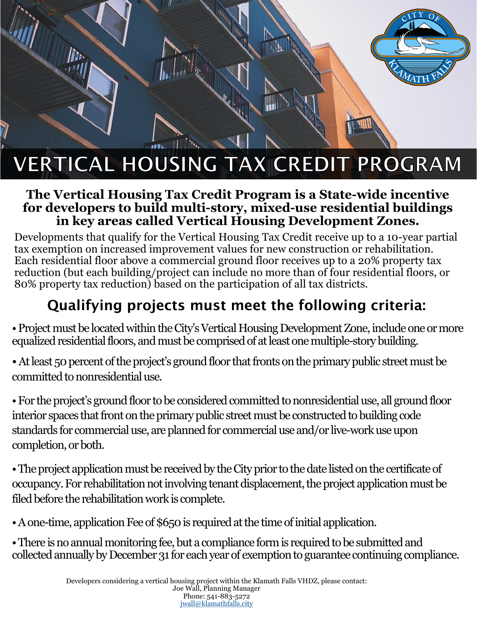## **VERTICAL HOUSING TAX CREDIT PROGRAM**

## **The Vertical Housing Tax Credit Program is a State-wide incentive for developers to build multi-story, mixed-use residential buildings in key areas called Vertical Housing Development Zones.**

Developments that qualify for the Vertical Housing Tax Credit receive up to a 10-year partial tax exemption on increased improvement values for new construction or rehabilitation. Each residential floor above a commercial ground floor receives up to a 20% property tax reduction (but each building/project can include no more than of four residential floors, or 80% property tax reduction) based on the participation of all tax districts.

## Qualifying projects must meet the following criteria:

• Project must be located within the City's Vertical Housing Development Zone, include one or more equalized residential floors, and must be comprised of at least one multiple-story building.

• At least 50 percent of the project's ground floor that fronts on the primary public street must be committed to nonresidential use.

• For the project's ground floor to be considered committed to nonresidential use, all ground floor interior spaces that front on the primary public street must be constructed to building code standards for commercial use, are planned for commercial use and/or live-work use upon completion, or both.

• The project application must be received by the City prior to the date listed on the certificate of occupancy. For rehabilitation not involving tenant displacement, the project application must be filed before the rehabilitation work is complete.

• A one-time, application Fee of \$650 is required at the time of initial application.

• There is no annual monitoring fee, but a compliance form is required to be submitted and collected annually by December 31 for each year of exemption to guarantee continuing compliance.